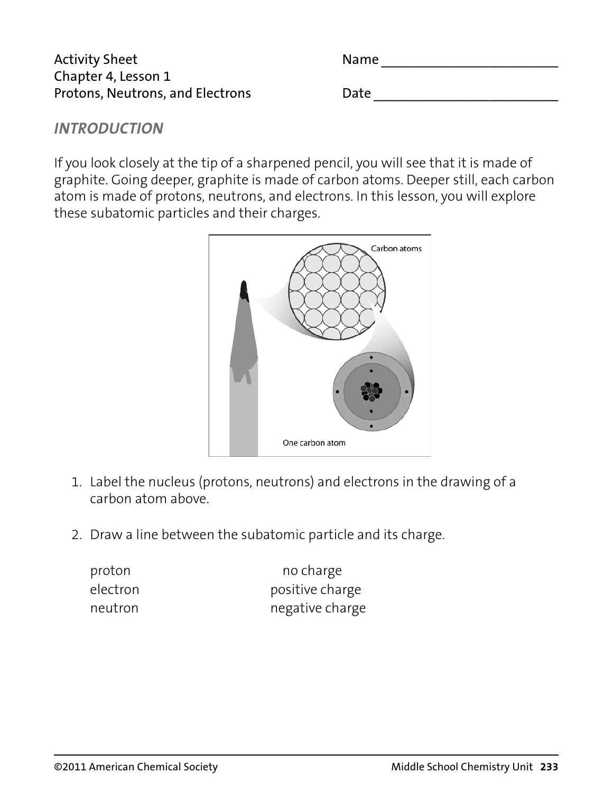| <b>Activity Sheet</b>            | <b>Name</b> |
|----------------------------------|-------------|
| Chapter 4, Lesson 1              |             |
| Protons, Neutrons, and Electrons | Date        |

## *INTRODUCTION*

If you look closely at the tip of a sharpened pencil, you will see that it is made of graphite. Going deeper, graphite is made of carbon atoms. Deeper still, each carbon atom is made of protons, neutrons, and electrons. In this lesson, you will explore these subatomic particles and their charges.



- 1. Label the nucleus (protons, neutrons) and electrons in the drawing of a carbon atom above.
- 2. Draw a line between the subatomic particle and its charge.

| proton   | no charge       |
|----------|-----------------|
| electron | positive charge |
| neutron  | negative charge |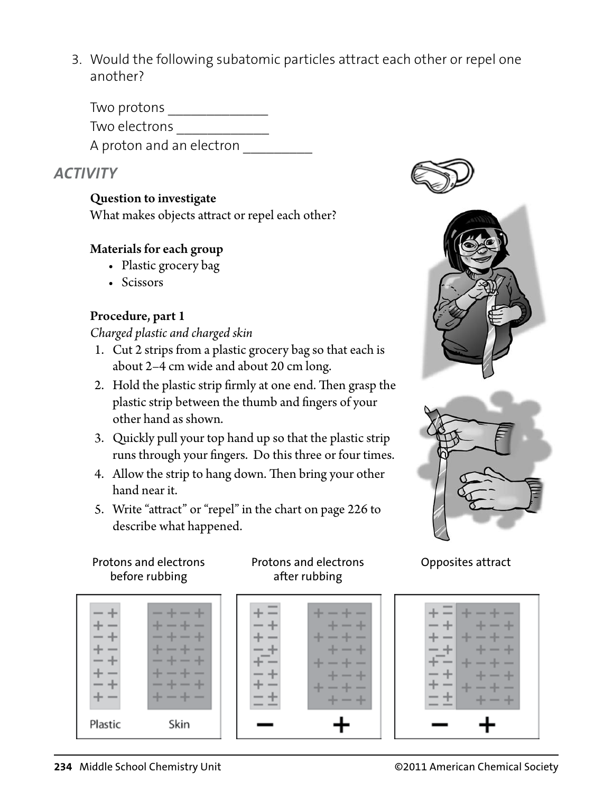3. Would the following subatomic particles attract each other or repel one another?

Two protons \_\_\_\_\_\_\_\_\_\_\_\_\_ Two electrons \_\_\_\_\_\_\_\_\_\_\_\_ A proton and an electron

# *ACTIVITY*

### Question to investigate

What makes objects attract or repel each other?

#### Materials for each group

- Plastic grocery bag
- Scissors

### Procedure, part 1

#### *Charged plastic and charged skin*

- 1. Cut 2 strips from a plastic grocery bag so that each is about 2–4 cm wide and about 20 cm long.
- 2. Hold the plastic strip firmly at one end. Then grasp the plastic strip between the thumb and fingers of your other hand as shown.
- 3. Quickly pull your top hand up so that the plastic strip runs through your fingers. Do this three or four times.
- 4. Allow the strip to hang down. Then bring your other hand near it.
- 5. Write "attract" or "repel" in the chart on page 226 to describe what happened.

#### Protons and electrons before rubbing

|         | -<br>-<br>_<br>_<br>_<br>_<br>-<br>_<br>_<br>-<br>-<br>-<br>-<br>-<br>٠ |
|---------|-------------------------------------------------------------------------|
| Plastic | Skin                                                                    |

#### Protons and electrons after rubbing







## Opposites attract

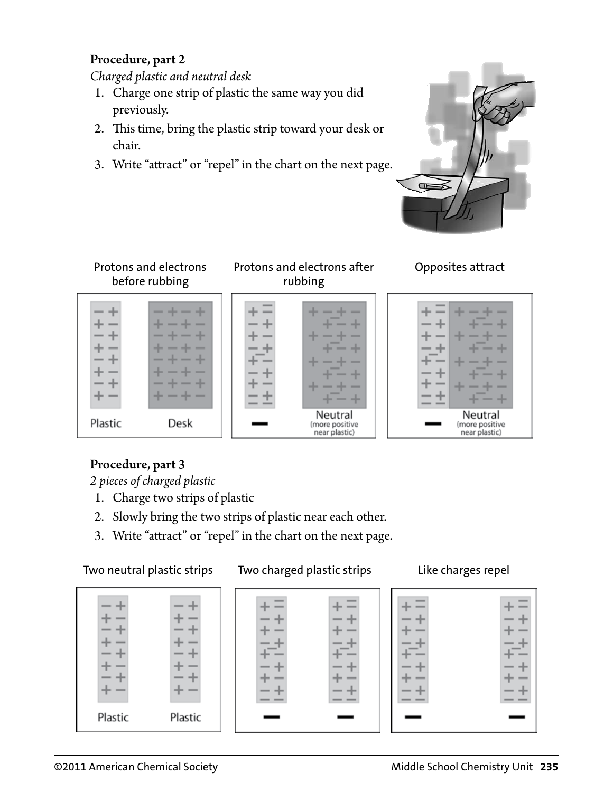#### Procedure, part 2

*Charged plastic and neutral desk*

- 1. Charge one strip of plastic the same way you did previously.
- 2. This time, bring the plastic strip toward your desk or chair.
- 3. Write "attract" or "repel" in the chart on the next page.





## Procedure, part 3

*2 pieces of charged plastic*

- 1. Charge two strips of plastic
- 2. Slowly bring the two strips of plastic near each other.
- 3. Write "attract" or "repel" in the chart on the next page.

Two neutral plastic strips Two charged plastic strips Like charges repel

|         |         |  | $\overline{\phantom{a}}$ |
|---------|---------|--|--------------------------|
| Plastic | Plastic |  |                          |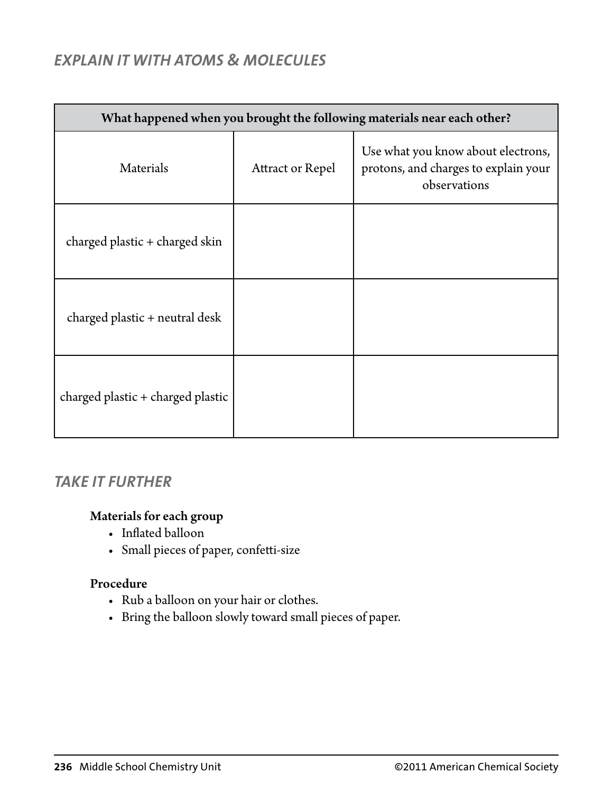# *EXPLAIN IT WITH ATOMS & MOLECULES*

| What happened when you brought the following materials near each other? |                         |                                                                                            |  |  |
|-------------------------------------------------------------------------|-------------------------|--------------------------------------------------------------------------------------------|--|--|
| Materials                                                               | <b>Attract or Repel</b> | Use what you know about electrons,<br>protons, and charges to explain your<br>observations |  |  |
| charged plastic + charged skin                                          |                         |                                                                                            |  |  |
| charged plastic + neutral desk                                          |                         |                                                                                            |  |  |
| charged plastic + charged plastic                                       |                         |                                                                                            |  |  |

# *TAKE IT FURTHER*

#### Materials for each group

- Inflated balloon
- Small pieces of paper, confetti-size

#### Procedure

- Rub a balloon on your hair or clothes.
- r Bring the balloon slowly toward small pieces of paper.